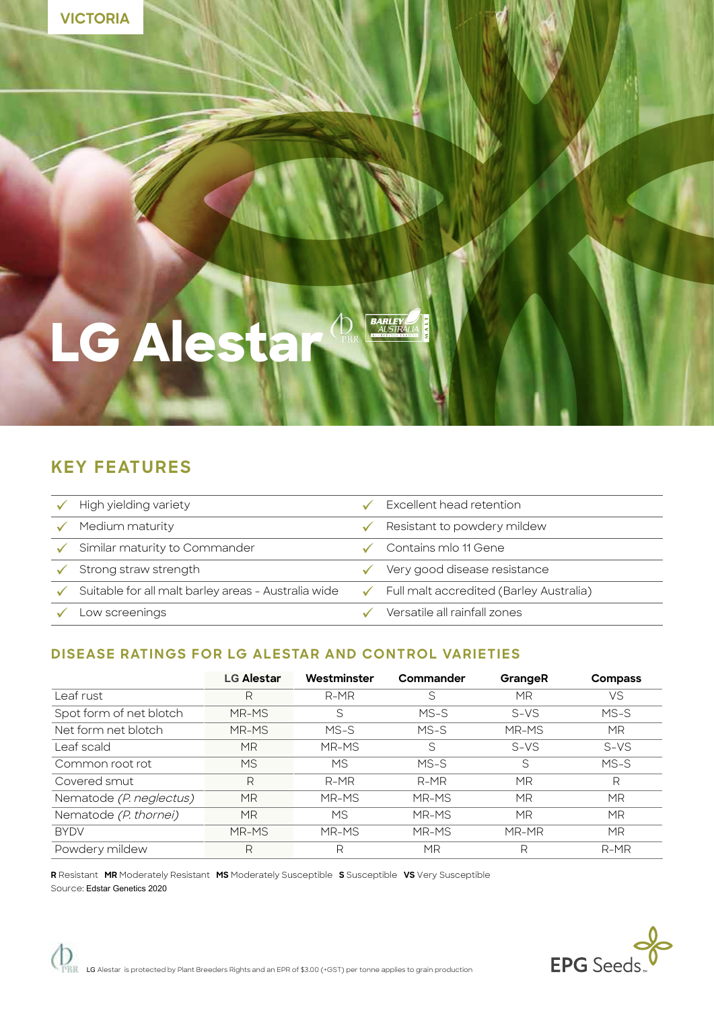

# **LG Alestar**

# **KEY FEATURES**

| High yielding variety                               | Excellent head retention                             |
|-----------------------------------------------------|------------------------------------------------------|
| Medium maturity                                     | Resistant to powdery mildew                          |
| Similar maturity to Commander                       | Contains mlo 11 Gene                                 |
| Strong straw strength                               | Very good disease resistance                         |
| Suitable for all malt barley areas - Australia wide | $\checkmark$ Full malt accredited (Barley Australia) |
| Low screenings                                      | Versatile all rainfall zones                         |

**BARLEY** 

### **DISEASE RATINGS FOR LG ALESTAR AND CONTROL VARIETIES**

|                         | <b>LG Alestar</b> | Westminster | Commander | GrangeR   | <b>Compass</b> |
|-------------------------|-------------------|-------------|-----------|-----------|----------------|
| Leaf rust               | R                 | $R-MR$      | S         | MR        | VS             |
| Spot form of net blotch | MR-MS             | S           | $MS-S$    | $S-VS$    | $MS-S$         |
| Net form net blotch     | MR-MS             | $MS-S$      | $MS-S$    | MR-MS     | <b>MR</b>      |
| Leaf scald              | ΜR                | MR-MS       | S         | $S-VS$    | $S-VS$         |
| Common root rot         | <b>MS</b>         | <b>MS</b>   | $MS-S$    | S         | $MS-S$         |
| Covered smut            | R                 | R-MR        | $R-MR$    | <b>MR</b> | R              |
| Nematode (P. neglectus) | <b>MR</b>         | MR-MS       | MR-MS     | <b>MR</b> | <b>MR</b>      |
| Nematode (P. thornei)   | ΜR                | <b>MS</b>   | MR-MS     | MR        | <b>MR</b>      |
| <b>BYDV</b>             | MR-MS             | MR-MS       | MR-MS     | MR-MR     | <b>MR</b>      |
| Powdery mildew          | R                 | R           | МR        | R         | $R-MR$         |

**R** Resistant **MR** Moderately Resistant **MS** Moderately Susceptible **S** Susceptible **VS** Very Susceptible Source: Edstar Genetics 2020